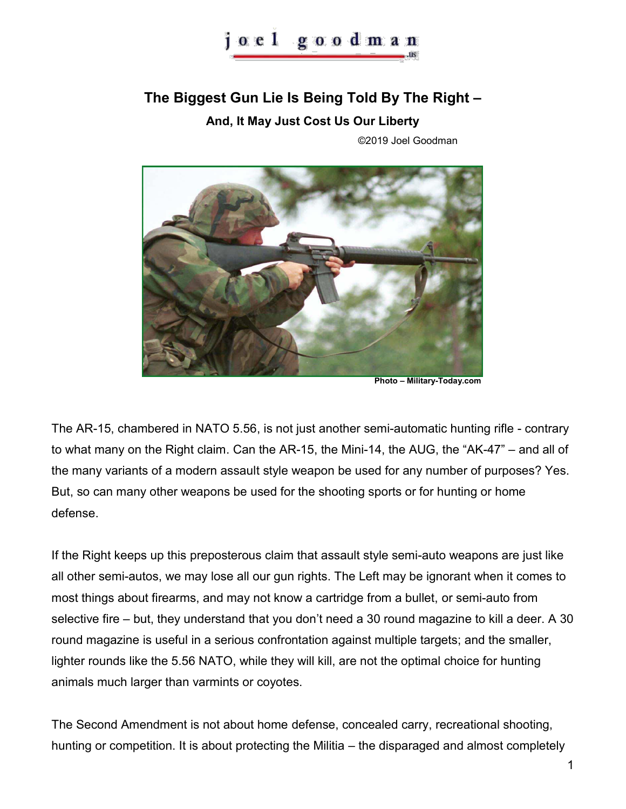## **The Biggest Gun Lie Is Being Told By The Right –**

**And, It May Just Cost Us Our Liberty** 

©2019 Joel Goodman



**Photo – Military-Today.com** 

The AR-15, chambered in NATO 5.56, is not just another semi-automatic hunting rifle - contrary to what many on the Right claim. Can the AR-15, the Mini-14, the AUG, the "AK-47" – and all of the many variants of a modern assault style weapon be used for any number of purposes? Yes. But, so can many other weapons be used for the shooting sports or for hunting or home defense.

If the Right keeps up this preposterous claim that assault style semi-auto weapons are just like all other semi-autos, we may lose all our gun rights. The Left may be ignorant when it comes to most things about firearms, and may not know a cartridge from a bullet, or semi-auto from selective fire – but, they understand that you don't need a 30 round magazine to kill a deer. A 30 round magazine is useful in a serious confrontation against multiple targets; and the smaller, lighter rounds like the 5.56 NATO, while they will kill, are not the optimal choice for hunting animals much larger than varmints or coyotes.

The Second Amendment is not about home defense, concealed carry, recreational shooting, hunting or competition. It is about protecting the Militia – the disparaged and almost completely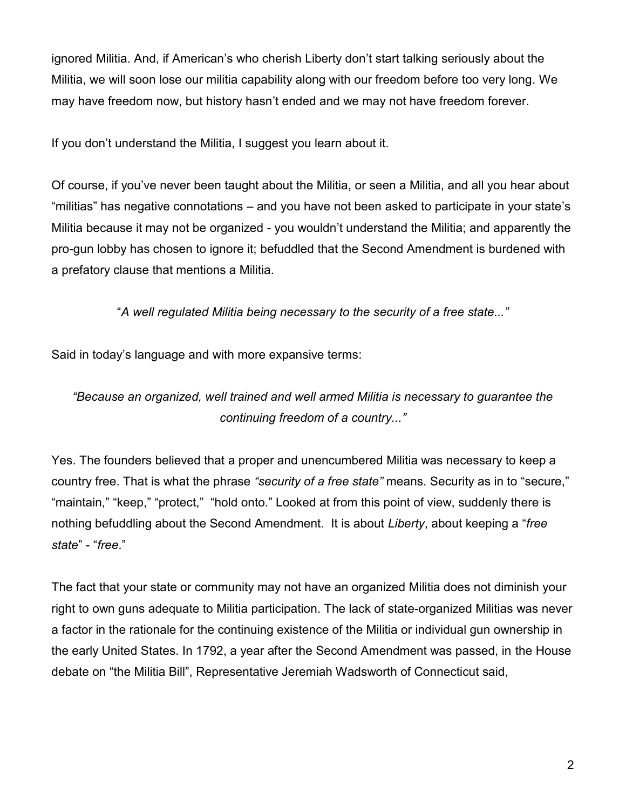ignored Militia. And, if American's who cherish Liberty don't start talking seriously about the Militia, we will soon lose our militia capability along with our freedom before too very long. We may have freedom now, but history hasn't ended and we may not have freedom forever.

If you don't understand the Militia, I suggest you learn about it.

Of course, if you've never been taught about the Militia, or seen a Militia, and all you hear about "militias" has negative connotations – and you have not been asked to participate in your state's Militia because it may not be organized - you wouldn't understand the Militia; and apparently the pro-gun lobby has chosen to ignore it; befuddled that the Second Amendment is burdened with a prefatory clause that mentions a Militia.

"*A well regulated Militia being necessary to the security of a free state..."*

Said in today's language and with more expansive terms:

*"Because an organized, well trained and well armed Militia is necessary to guarantee the continuing freedom of a country..."*

Yes. The founders believed that a proper and unencumbered Militia was necessary to keep a country free. That is what the phrase *"security of a free state"* means. Security as in to "secure," "maintain," "keep," "protect," "hold onto." Looked at from this point of view, suddenly there is nothing befuddling about the Second Amendment. It is about *Liberty*, about keeping a "*free state*" - "*free*."

The fact that your state or community may not have an organized Militia does not diminish your right to own guns adequate to Militia participation. The lack of state-organized Militias was never a factor in the rationale for the continuing existence of the Militia or individual gun ownership in the early United States. In 1792, a year after the Second Amendment was passed, in the House debate on "the Militia Bill", Representative Jeremiah Wadsworth of Connecticut said,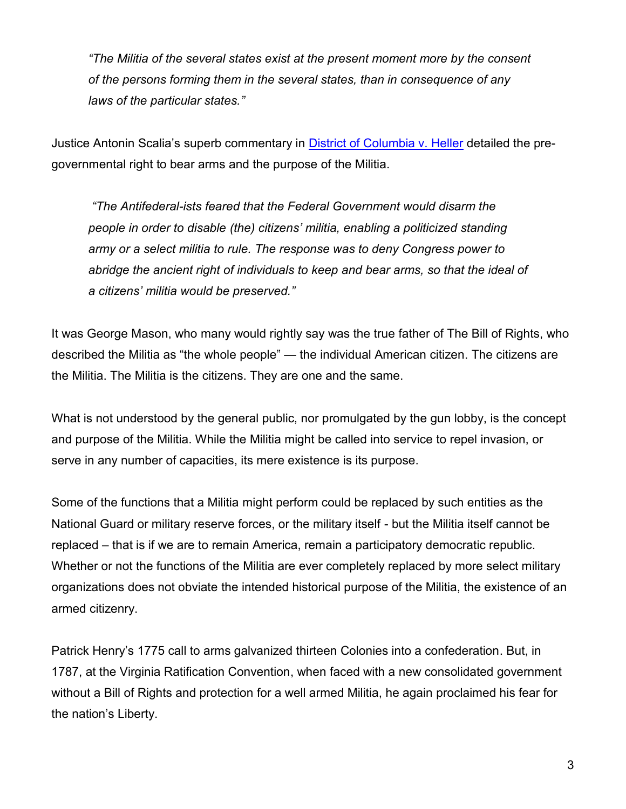*"The Militia of the several states exist at the present moment more by the consent of the persons forming them in the several states, than in consequence of any laws of the particular states."* 

Justice Antonin Scalia's superb commentary in [District of Columbia v. Heller](https://www.supremecourt.gov/opinions/07pdf/07-290.pdf) detailed the pregovernmental right to bear arms and the purpose of the Militia.

*"The Antifederal-ists feared that the Federal Government would disarm the people in order to disable (the) citizens' militia, enabling a politicized standing army or a select militia to rule. The response was to deny Congress power to abridge the ancient right of individuals to keep and bear arms, so that the ideal of a citizens' militia would be preserved."* 

It was George Mason, who many would rightly say was the true father of The Bill of Rights, who described the Militia as "the whole people" — the individual American citizen. The citizens are the Militia. The Militia is the citizens. They are one and the same.

What is not understood by the general public, nor promulgated by the gun lobby, is the concept and purpose of the Militia. While the Militia might be called into service to repel invasion, or serve in any number of capacities, its mere existence is its purpose.

Some of the functions that a Militia might perform could be replaced by such entities as the National Guard or military reserve forces, or the military itself - but the Militia itself cannot be replaced – that is if we are to remain America, remain a participatory democratic republic. Whether or not the functions of the Militia are ever completely replaced by more select military organizations does not obviate the intended historical purpose of the Militia, the existence of an armed citizenry.

Patrick Henry's 1775 call to arms galvanized thirteen Colonies into a confederation. But, in 1787, at the Virginia Ratification Convention, when faced with a new consolidated government without a Bill of Rights and protection for a well armed Militia, he again proclaimed his fear for the nation's Liberty.